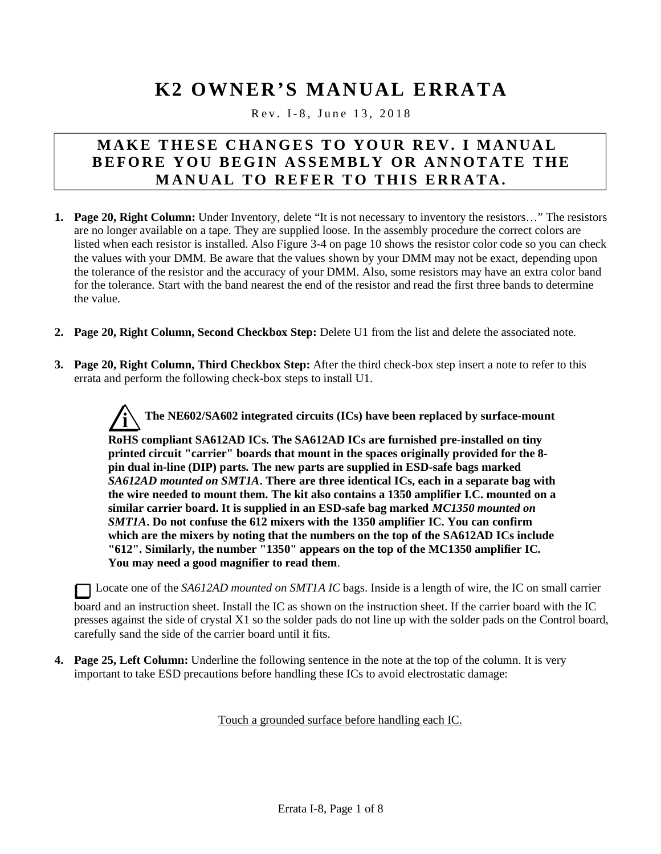## **K2 OWNER'S MANUAL ERRATA**

Rev. I-8, June 13, 2018

## **MAKE T HESE C HA NGES T O YOUR RE V. I MA NUA L BEFORE Y OU BEGI N AS SEMBL Y OR AN NOT ATE T HE M ANU AL TO REFE R T O THI S E RR AT A.**

- **1. Page 20, Right Column:** Under Inventory, delete "It is not necessary to inventory the resistors…" The resistors are no longer available on a tape. They are supplied loose. In the assembly procedure the correct colors are listed when each resistor is installed. Also Figure 3-4 on page 10 shows the resistor color code so you can check the values with your DMM. Be aware that the values shown by your DMM may not be exact, depending upon the tolerance of the resistor and the accuracy of your DMM. Also, some resistors may have an extra color band for the tolerance. Start with the band nearest the end of the resistor and read the first three bands to determine the value.
- **2. Page 20, Right Column, Second Checkbox Step:** Delete U1 from the list and delete the associated note.
- **3. Page 20, Right Column, Third Checkbox Step:** After the third check-box step insert a note to refer to this errata and perform the following check-box steps to install U1.

**i The NE602/SA602 integrated circuits (ICs) have been replaced by surface-mount**

**RoHS compliant SA612AD ICs. The SA612AD ICs are furnished pre-installed on tiny printed circuit "carrier" boards that mount in the spaces originally provided for the 8 pin dual in-line (DIP) parts. The new parts are supplied in ESD-safe bags marked** *SA612AD mounted on SMT1A***. There are three identical ICs, each in a separate bag with the wire needed to mount them. The kit also contains a 1350 amplifier I.C. mounted on a similar carrier board. It is supplied in an ESD-safe bag marked** *MC1350 mounted on SMT1A***. Do not confuse the 612 mixers with the 1350 amplifier IC. You can confirm which are the mixers by noting that the numbers on the top of the SA612AD ICs include "612". Similarly, the number "1350" appears on the top of the MC1350 amplifier IC. You may need a good magnifier to read them**.

Locate one of the *SA612AD mounted on SMT1A IC* bags. Inside is a length of wire, the IC on small carrier

board and an instruction sheet. Install the IC as shown on the instruction sheet. If the carrier board with the IC presses against the side of crystal X1 so the solder pads do not line up with the solder pads on the Control board, carefully sand the side of the carrier board until it fits.

**4. Page 25, Left Column:** Underline the following sentence in the note at the top of the column. It is very important to take ESD precautions before handling these ICs to avoid electrostatic damage:

Touch a grounded surface before handling each IC.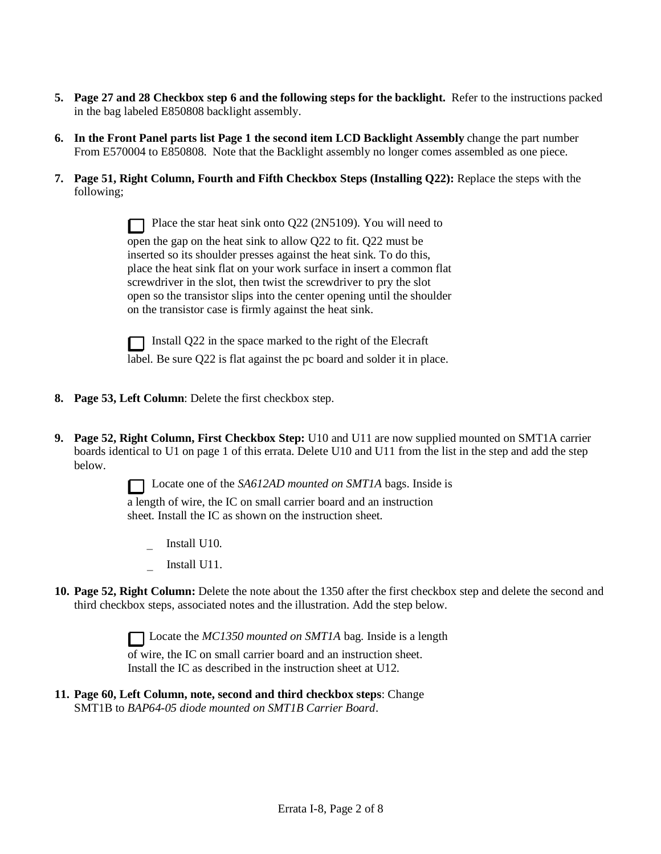- **5. Page 27 and 28 Checkbox step 6 and the following steps for the backlight.** Refer to the instructions packed in the bag labeled E850808 backlight assembly.
- **6. In the Front Panel parts list Page 1 the second item LCD Backlight Assembly** change the part number From E570004 to E850808. Note that the Backlight assembly no longer comes assembled as one piece.
- **7. Page 51, Right Column, Fourth and Fifth Checkbox Steps (Installing Q22):** Replace the steps with the following;

| Place the star heat sink onto Q22 (2N5109). You will need to            |
|-------------------------------------------------------------------------|
| open the gap on the heat sink to allow Q22 to fit. Q22 must be          |
| inserted so its shoulder presses against the heat sink. To do this,     |
| place the heat sink flat on your work surface in insert a common flat   |
| screwdriver in the slot, then twist the screwdriver to pry the slot     |
| open so the transistor slips into the center opening until the shoulder |
| on the transistor case is firmly against the heat sink.                 |

Install Q22 in the space marked to the right of the Elecraft label. Be sure Q22 is flat against the pc board and solder it in place.

- **8. Page 53, Left Column**: Delete the first checkbox step.
- **9. Page 52, Right Column, First Checkbox Step:** U10 and U11 are now supplied mounted on SMT1A carrier boards identical to U1 on page 1 of this errata. Delete U10 and U11 from the list in the step and add the step below.

Locate one of the *SA612AD mounted on SMT1A* bags. Inside is a length of wire, the IC on small carrier board and an instruction sheet. Install the IC as shown on the instruction sheet.

- Install U10.
- Install U11.
- **10. Page 52, Right Column:** Delete the note about the 1350 after the first checkbox step and delete the second and third checkbox steps, associated notes and the illustration. Add the step below.

Locate the *MC1350 mounted on SMT1A* bag. Inside is a length

of wire, the IC on small carrier board and an instruction sheet. Install the IC as described in the instruction sheet at U12.

**11. Page 60, Left Column, note, second and third checkbox steps**: Change SMT1B to *BAP64-05 diode mounted on SMT1B Carrier Board*.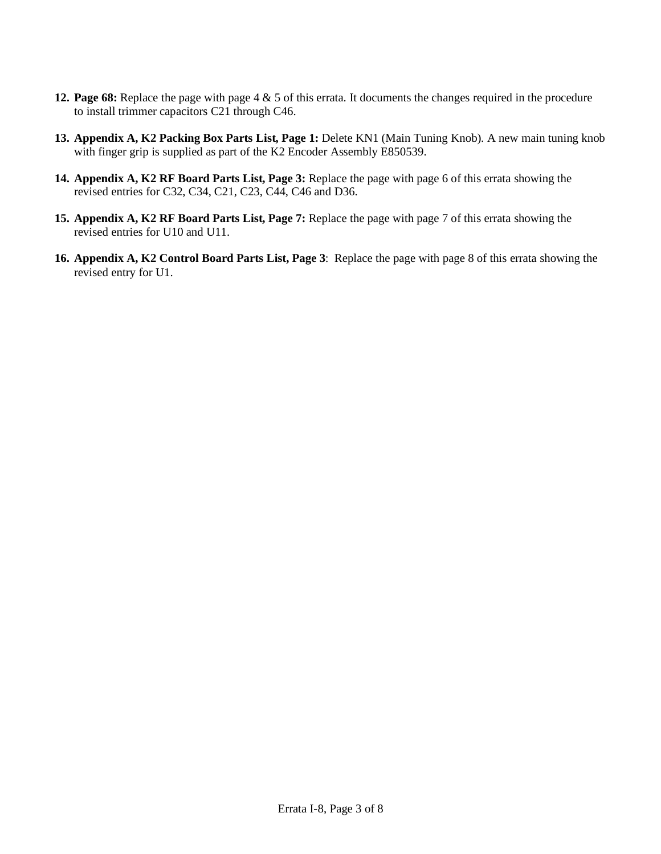- **12. Page 68:** Replace the page with page 4 & 5 of this errata. It documents the changes required in the procedure to install trimmer capacitors C21 through C46.
- **13. Appendix A, K2 Packing Box Parts List, Page 1:** Delete KN1 (Main Tuning Knob). A new main tuning knob with finger grip is supplied as part of the K2 Encoder Assembly E850539.
- **14. Appendix A, K2 RF Board Parts List, Page 3:** Replace the page with page 6 of this errata showing the revised entries for C32, C34, C21, C23, C44, C46 and D36.
- **15. Appendix A, K2 RF Board Parts List, Page 7:** Replace the page with page 7 of this errata showing the revised entries for U10 and U11.
- **16. Appendix A, K2 Control Board Parts List, Page 3**: Replace the page with page 8 of this errata showing the revised entry for U1.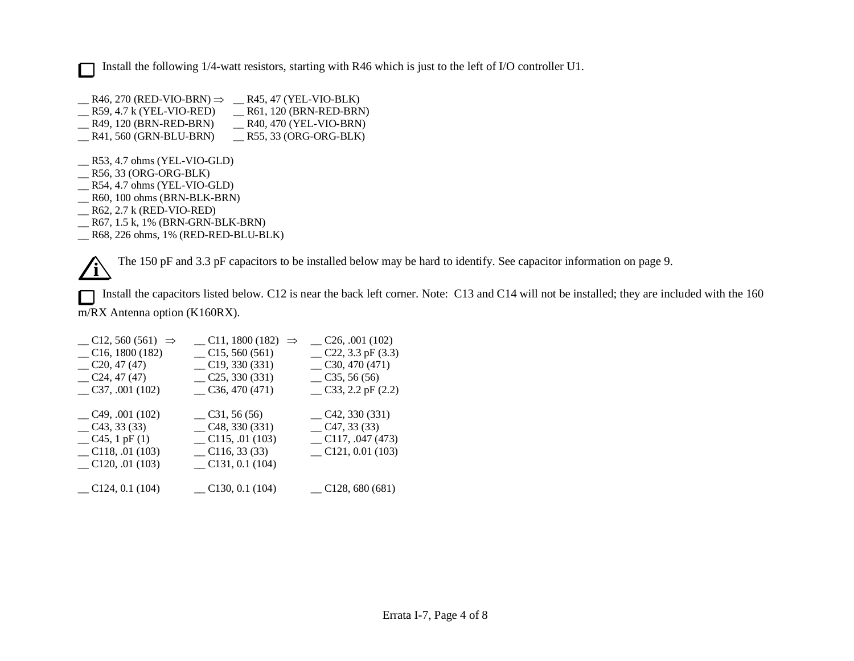Install the following 1/4-watt resistors, starting with R46 which is just to the left of I/O controller U1.  $\Box$ 

- $R46, 270$  (RED-VIO-BRN)  $\Rightarrow$   $R45, 47$  (YEL-VIO-BLK) \_\_ R59, 4.7 k (YEL-VIO-RED) \_\_\_ R61, 120 (BRN-RED-BRN)<br>
\_\_ R49, 120 (BRN-RED-BRN) \_\_\_ R40, 470 (YEL-VIO-BRN) \_\_ R49, 120 (BRN-RED-BRN) \_\_ R40, 470 (YEL-VIO-BRN)<br>
\_\_ R41, 560 (GRN-BLU-BRN) \_\_ R55, 33 (ORG-ORG-BLK)
- $R41, 560$  (GRN-BLU-BRN)

\_\_ R53, 4.7 ohms (YEL-VIO-GLD)

- \_\_ R56, 33 (ORG-ORG-BLK)
- \_\_ R54, 4.7 ohms (YEL-VIO-GLD)
- \_\_ R60, 100 ohms (BRN-BLK-BRN)
- \_\_ R62, 2.7 k (RED-VIO-RED)
- \_\_ R67, 1.5 k, 1% (BRN-GRN-BLK-BRN)
- \_\_ R68, 226 ohms, 1% (RED-RED-BLU-BLK)

**i** The 150 pF and 3.3 pF capacitors to be installed below may be hard to identify. See capacitor information on page 9.

Install the capacitors listed below. C12 is near the back left corner. Note: C13 and C14 will not be installed; they are included with the 160 П m/RX Antenna option (K160RX).

| $\_$ C11, 1800 (182) $\Rightarrow$ | $\sim$ C <sub>26</sub> , .001 (102) |
|------------------------------------|-------------------------------------|
| $\_$ C15, 560 (561)                | $C22$ , 3.3 pF (3.3)                |
| C19, 330(331)                      | $\sim$ C <sub>30</sub> , 470 (471)  |
| $C$ 25, 330 (331)                  | $\sim$ C <sub>35</sub> , 56 (56)    |
| $\sim$ C <sub>36</sub> , 470 (471) | $\sim$ C33, 2.2 pF (2.2)            |
|                                    |                                     |
| $\sim$ C31, 56 (56)                | $C$ 42, 330 (331)                   |
| $C$ 48, 330 (331)                  | $C$ 47, 33 (33)                     |
| $\sim$ C115, .01 (103)             | $\sim$ C117, .047 (473)             |
| $\sim$ C116, 33 (33)               | $\_$ C121, 0.01 (103)               |
| $\_$ C131, 0.1 (104)               |                                     |
|                                    |                                     |
| $\sim$ C130, 0.1 (104)             | $\_$ C128, 680 (681)                |
|                                    |                                     |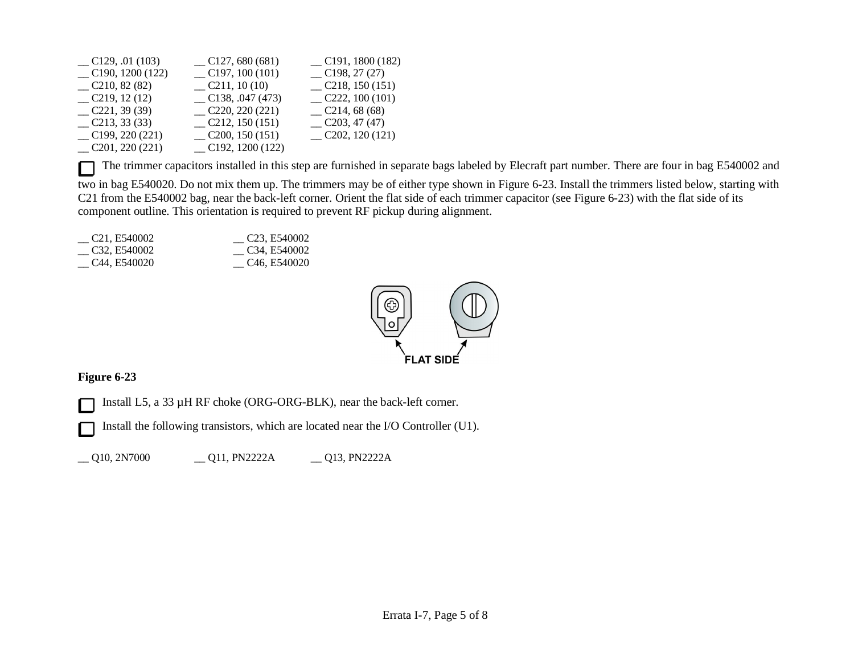| $\sim$ C129, .01 (103)            | C127,680(681)           | $\_$ C191, 1800 (182)               |
|-----------------------------------|-------------------------|-------------------------------------|
| $\sim$ C190, 1200 (122)           | $\_$ C197, 100 (101)    | C198, 27(27)                        |
| C210, 82(82)                      | $\sim$ C211, 10 (10)    | $\sim$ C <sub>218</sub> , 150 (151) |
| $\sim$ C <sub>2</sub> 19, 12 (12) | $\sim$ C138, .047 (473) | C222, 100(101)                      |
| C221, 39(39)                      | C220, 220(221)          | C214, 68(68)                        |
| C213, 33(33)                      | $\sim$ C212, 150 (151)  | C203, 47(47)                        |
| C199, 220(221)                    | $\sim$ C200, 150 (151)  | $\sim$ C202, 120 (121)              |
| C201, 220(221)                    | $\sim$ C192, 1200 (122) |                                     |

The trimmer capacitors installed in this step are furnished in separate bags labeled by Elecraft part number. There are four in bag E540002 and  $\Box$ two in bag E540020. Do not mix them up. The trimmers may be of either type shown in Figure 6-23. Install the trimmers listed below, starting with C21 from the E540002 bag, near the back-left corner. Orient the flat side of each trimmer capacitor (see Figure 6-23) with the flat side of its component outline. This orientation is required to prevent RF pickup during alignment.

<u>C21</u>, E540002 <u>C32</u>, E540002<br>C32, E540002 C34, E540002  $\sim$  C34, E540002 \_\_ C44, E540020 \_\_ C46, E540020



## **Figure 6-23**

Install L5, a 33 µH RF choke (ORG-ORG-BLK), near the back-left corner. L

Install the following transistors, which are located near the I/O Controller (U1).

\_\_ Q10, 2N7000 \_\_ Q11, PN2222A \_\_ Q13, PN2222A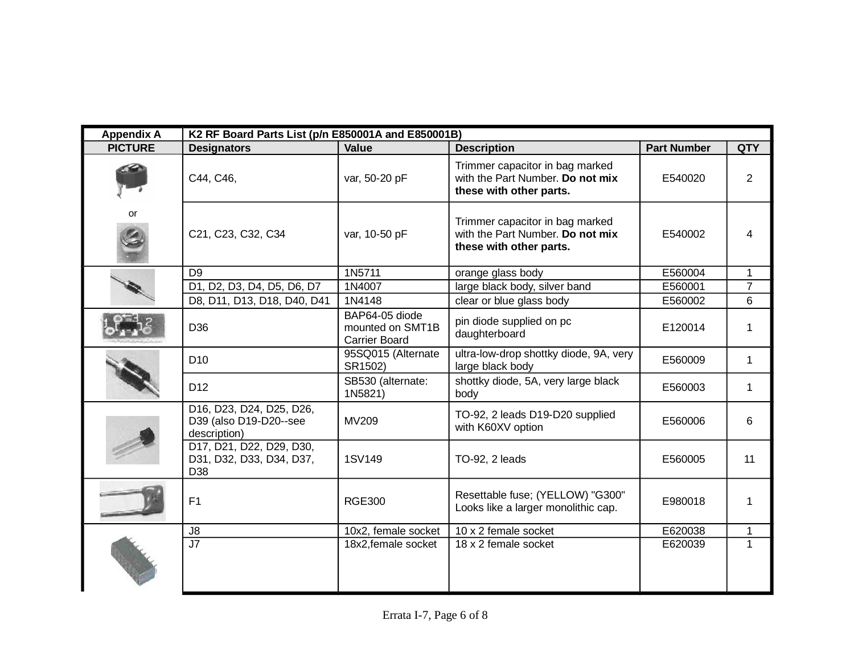| <b>Appendix A</b> | K2 RF Board Parts List (p/n E850001A and E850001B)                 |                                                            |                                                                                                |                    |                |
|-------------------|--------------------------------------------------------------------|------------------------------------------------------------|------------------------------------------------------------------------------------------------|--------------------|----------------|
| <b>PICTURE</b>    | <b>Designators</b>                                                 | <b>Value</b>                                               | <b>Description</b>                                                                             | <b>Part Number</b> | <b>QTY</b>     |
|                   | C44, C46,                                                          | var, 50-20 pF                                              | Trimmer capacitor in bag marked<br>with the Part Number. Do not mix<br>these with other parts. | E540020            | 2              |
| or                | C21, C23, C32, C34                                                 | var, 10-50 pF                                              | Trimmer capacitor in bag marked<br>with the Part Number. Do not mix<br>these with other parts. | E540002            | 4              |
|                   | D <sub>9</sub>                                                     | 1N5711                                                     | orange glass body                                                                              | E560004            | 1              |
|                   | D1, D2, D3, D4, D5, D6, D7                                         | 1N4007                                                     | large black body, silver band                                                                  | E560001            | $\overline{7}$ |
|                   | D8, D11, D13, D18, D40, D41                                        | 1N4148                                                     | clear or blue glass body                                                                       | E560002            | 6              |
|                   | D36                                                                | BAP64-05 diode<br>mounted on SMT1B<br><b>Carrier Board</b> | pin diode supplied on pc<br>daughterboard                                                      | E120014            | 1              |
|                   | D <sub>10</sub>                                                    | 95SQ015 (Alternate<br>SR1502)                              | ultra-low-drop shottky diode, 9A, very<br>large black body                                     | E560009            | 1              |
|                   | D <sub>12</sub>                                                    | SB530 (alternate:<br>1N5821)                               | shottky diode, 5A, very large black<br>body                                                    | E560003            | $\mathbf 1$    |
|                   | D16, D23, D24, D25, D26,<br>D39 (also D19-D20--see<br>description) | MV209                                                      | TO-92, 2 leads D19-D20 supplied<br>with K60XV option                                           | E560006            | 6              |
|                   | D17, D21, D22, D29, D30,<br>D31, D32, D33, D34, D37,<br>D38        | 1SV149                                                     | TO-92, 2 leads                                                                                 | E560005            | 11             |
|                   | F <sub>1</sub>                                                     | <b>RGE300</b>                                              | Resettable fuse; (YELLOW) "G300"<br>Looks like a larger monolithic cap.                        | E980018            | 1              |
|                   | J8                                                                 | 10x2, female socket                                        | 10 x 2 female socket                                                                           | E620038            | 1              |
|                   | J7                                                                 | 18x2, female socket                                        | 18 x 2 female socket                                                                           | E620039            |                |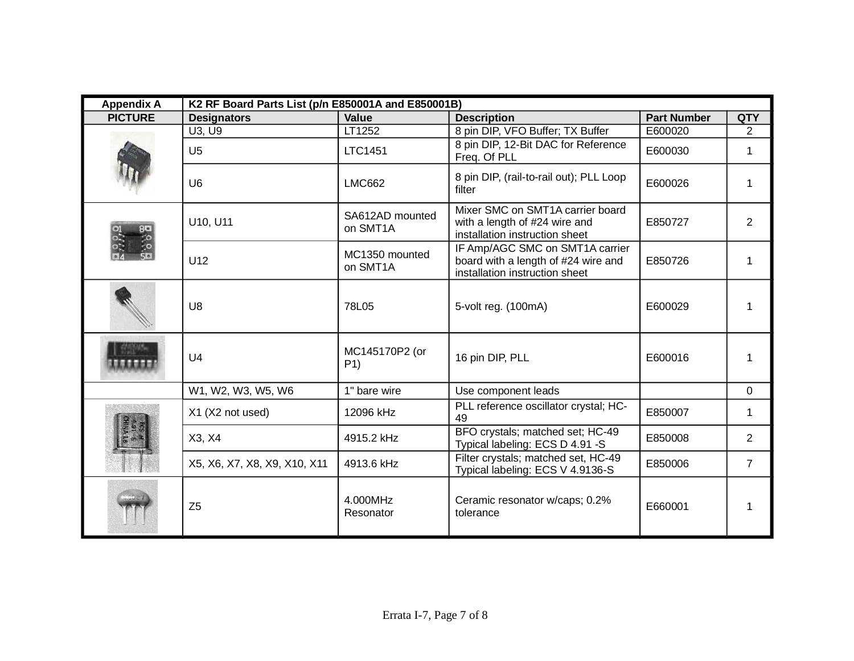| <b>Appendix A</b> | K2 RF Board Parts List (p/n E850001A and E850001B) |                                  |                                                                                                          |                    |                |
|-------------------|----------------------------------------------------|----------------------------------|----------------------------------------------------------------------------------------------------------|--------------------|----------------|
| <b>PICTURE</b>    | <b>Designators</b>                                 | <b>Value</b>                     | <b>Description</b>                                                                                       | <b>Part Number</b> | <b>QTY</b>     |
|                   | U3, U9                                             | LT1252                           | 8 pin DIP, VFO Buffer; TX Buffer                                                                         | E600020            | $\overline{2}$ |
|                   | U <sub>5</sub>                                     | <b>LTC1451</b>                   | 8 pin DIP, 12-Bit DAC for Reference<br>Freq. Of PLL                                                      | E600030            | $\mathbf 1$    |
|                   | U <sub>6</sub>                                     | <b>LMC662</b>                    | 8 pin DIP, (rail-to-rail out); PLL Loop<br>filter                                                        | E600026            | 1              |
|                   | U10, U11                                           | SA612AD mounted<br>on SMT1A      | Mixer SMC on SMT1A carrier board<br>with a length of #24 wire and<br>installation instruction sheet      | E850727            | 2              |
|                   | U12                                                | MC1350 mounted<br>on SMT1A       | IF Amp/AGC SMC on SMT1A carrier<br>board with a length of #24 wire and<br>installation instruction sheet | E850726            | 1              |
|                   | U <sub>8</sub>                                     | 78L05                            | 5-volt reg. (100mA)                                                                                      | E600029            | 1              |
|                   | U <sub>4</sub>                                     | MC145170P2 (or<br>P <sub>1</sub> | 16 pin DIP, PLL                                                                                          | E600016            | 1              |
|                   | W1, W2, W3, W5, W6                                 | 1" bare wire                     | Use component leads                                                                                      |                    | $\mathbf 0$    |
|                   | X1 (X2 not used)                                   | 12096 kHz                        | PLL reference oscillator crystal; HC-<br>49                                                              | E850007            | $\mathbf 1$    |
|                   | X3, X4                                             | 4915.2 kHz                       | BFO crystals; matched set; HC-49<br>Typical labeling: ECS D 4.91 -S                                      | E850008            | $\overline{2}$ |
|                   | X5, X6, X7, X8, X9, X10, X11                       | 4913.6 kHz                       | Filter crystals; matched set, HC-49<br>Typical labeling: ECS V 4.9136-S                                  | E850006            | $\overline{7}$ |
|                   | Z <sub>5</sub>                                     | 4.000MHz<br>Resonator            | Ceramic resonator w/caps; 0.2%<br>tolerance                                                              | E660001            | 1              |